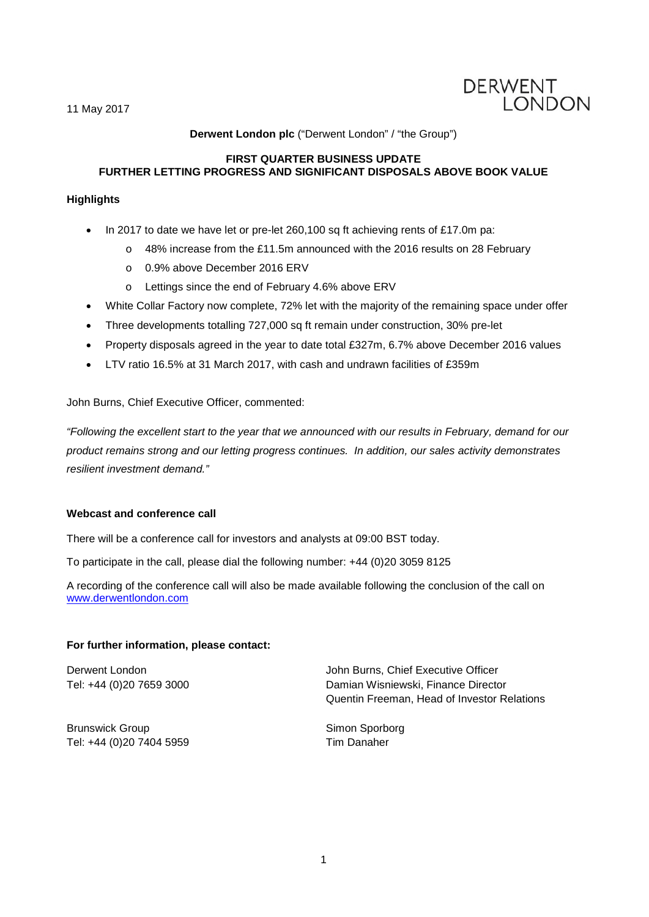11 May 2017



## **Derwent London plc** ("Derwent London" / "the Group")

## **FIRST QUARTER BUSINESS UPDATE FURTHER LETTING PROGRESS AND SIGNIFICANT DISPOSALS ABOVE BOOK VALUE**

## **Highlights**

- In 2017 to date we have let or pre-let 260,100 sq ft achieving rents of £17.0m pa:
	- o 48% increase from the £11.5m announced with the 2016 results on 28 February
	- o 0.9% above December 2016 ERV
	- o Lettings since the end of February 4.6% above ERV
- White Collar Factory now complete, 72% let with the majority of the remaining space under offer
- Three developments totalling 727,000 sq ft remain under construction, 30% pre-let
- Property disposals agreed in the year to date total £327m, 6.7% above December 2016 values
- LTV ratio 16.5% at 31 March 2017, with cash and undrawn facilities of £359m

## John Burns, Chief Executive Officer, commented:

*"Following the excellent start to the year that we announced with our results in February, demand for our product remains strong and our letting progress continues. In addition, our sales activity demonstrates resilient investment demand."*

### **Webcast and conference call**

There will be a conference call for investors and analysts at 09:00 BST today.

To participate in the call, please dial the following number: +44 (0)20 3059 8125

A recording of the conference call will also be made available following the conclusion of the call on [www.derwentlondon.com](http://www.derwentlondon.com/)

### **For further information, please contact:**

Derwent London Tel: +44 (0)20 7659 3000

Damian Wisniewski, Finance Director Quentin Freeman, Head of Investor Relations

John Burns, Chief Executive Officer

Brunswick Group Tel: +44 (0)20 7404 5959

Simon Sporborg Tim Danaher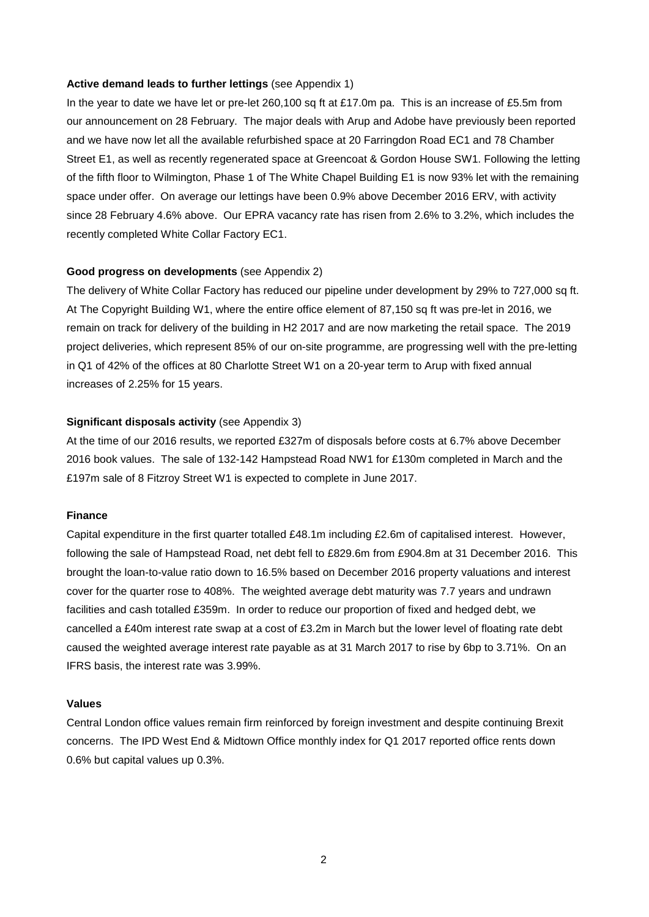#### **Active demand leads to further lettings** (see Appendix 1)

In the year to date we have let or pre-let 260,100 sq ft at £17.0m pa. This is an increase of £5.5m from our announcement on 28 February. The major deals with Arup and Adobe have previously been reported and we have now let all the available refurbished space at 20 Farringdon Road EC1 and 78 Chamber Street E1, as well as recently regenerated space at Greencoat & Gordon House SW1. Following the letting of the fifth floor to Wilmington, Phase 1 of The White Chapel Building E1 is now 93% let with the remaining space under offer. On average our lettings have been 0.9% above December 2016 ERV, with activity since 28 February 4.6% above. Our EPRA vacancy rate has risen from 2.6% to 3.2%, which includes the recently completed White Collar Factory EC1.

### **Good progress on developments** (see Appendix 2)

The delivery of White Collar Factory has reduced our pipeline under development by 29% to 727,000 sq ft. At The Copyright Building W1, where the entire office element of 87,150 sq ft was pre-let in 2016, we remain on track for delivery of the building in H2 2017 and are now marketing the retail space. The 2019 project deliveries, which represent 85% of our on-site programme, are progressing well with the pre-letting in Q1 of 42% of the offices at 80 Charlotte Street W1 on a 20-year term to Arup with fixed annual increases of 2.25% for 15 years.

### **Significant disposals activity** (see Appendix 3)

At the time of our 2016 results, we reported £327m of disposals before costs at 6.7% above December 2016 book values. The sale of 132-142 Hampstead Road NW1 for £130m completed in March and the £197m sale of 8 Fitzroy Street W1 is expected to complete in June 2017.

### **Finance**

Capital expenditure in the first quarter totalled £48.1m including £2.6m of capitalised interest. However, following the sale of Hampstead Road, net debt fell to £829.6m from £904.8m at 31 December 2016. This brought the loan-to-value ratio down to 16.5% based on December 2016 property valuations and interest cover for the quarter rose to 408%. The weighted average debt maturity was 7.7 years and undrawn facilities and cash totalled £359m. In order to reduce our proportion of fixed and hedged debt, we cancelled a £40m interest rate swap at a cost of £3.2m in March but the lower level of floating rate debt caused the weighted average interest rate payable as at 31 March 2017 to rise by 6bp to 3.71%. On an IFRS basis, the interest rate was 3.99%.

#### **Values**

Central London office values remain firm reinforced by foreign investment and despite continuing Brexit concerns. The IPD West End & Midtown Office monthly index for Q1 2017 reported office rents down 0.6% but capital values up 0.3%.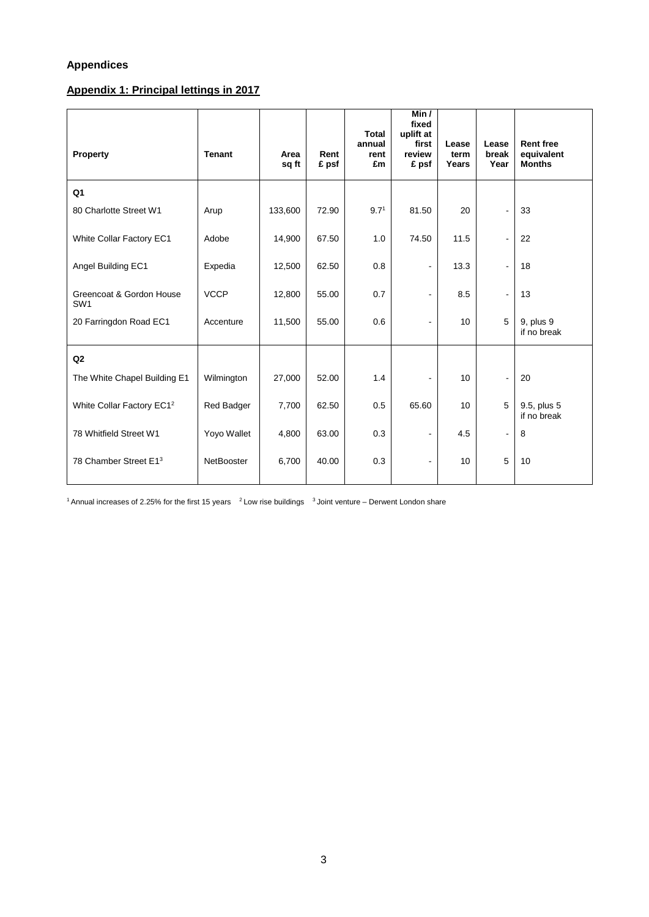# **Appendices**

# **Appendix 1: Principal lettings in 2017**

| <b>Property</b>                             | <b>Tenant</b>     | Area<br>sq ft | Rent<br>£ psf | <b>Total</b><br>annual<br>rent<br>£m | Min $/$<br>fixed<br>uplift at<br>first<br>review<br>£ psf | Lease<br>term<br>Years | Lease<br>break<br>Year   | <b>Rent free</b><br>equivalent<br><b>Months</b> |
|---------------------------------------------|-------------------|---------------|---------------|--------------------------------------|-----------------------------------------------------------|------------------------|--------------------------|-------------------------------------------------|
| Q <sub>1</sub>                              |                   |               |               |                                      |                                                           |                        |                          |                                                 |
| 80 Charlotte Street W1                      | Arup              | 133,600       | 72.90         | 9.7 <sup>1</sup>                     | 81.50                                                     | 20                     | $\blacksquare$           | 33                                              |
| White Collar Factory EC1                    | Adobe             | 14,900        | 67.50         | 1.0                                  | 74.50                                                     | 11.5                   | $\blacksquare$           | 22                                              |
| Angel Building EC1                          | Expedia           | 12,500        | 62.50         | 0.8                                  | $\blacksquare$                                            | 13.3                   | $\blacksquare$           | 18                                              |
| Greencoat & Gordon House<br>SW <sub>1</sub> | <b>VCCP</b>       | 12,800        | 55.00         | 0.7                                  | $\blacksquare$                                            | 8.5                    | $\blacksquare$           | 13                                              |
| 20 Farringdon Road EC1                      | Accenture         | 11,500        | 55.00         | 0.6                                  | $\blacksquare$                                            | 10 <sup>10</sup>       | 5                        | 9, plus 9<br>if no break                        |
| Q2                                          |                   |               |               |                                      |                                                           |                        |                          |                                                 |
| The White Chapel Building E1                | Wilmington        | 27,000        | 52.00         | 1.4                                  | $\blacksquare$                                            | 10                     | $\mathbf{r}$             | 20                                              |
| White Collar Factory EC1 <sup>2</sup>       | <b>Red Badger</b> | 7,700         | 62.50         | 0.5                                  | 65.60                                                     | 10                     | 5                        | 9.5, plus 5<br>if no break                      |
| 78 Whitfield Street W1                      | Yoyo Wallet       | 4,800         | 63.00         | 0.3                                  | $\blacksquare$                                            | 4.5                    | $\overline{\phantom{a}}$ | 8                                               |
| 78 Chamber Street E13                       | NetBooster        | 6,700         | 40.00         | 0.3                                  | $\overline{a}$                                            | 10                     | 5                        | 10                                              |

 $1$  Annual increases of 2.25% for the first 15 years  $2$  Low rise buildings  $3$  Joint venture – Derwent London share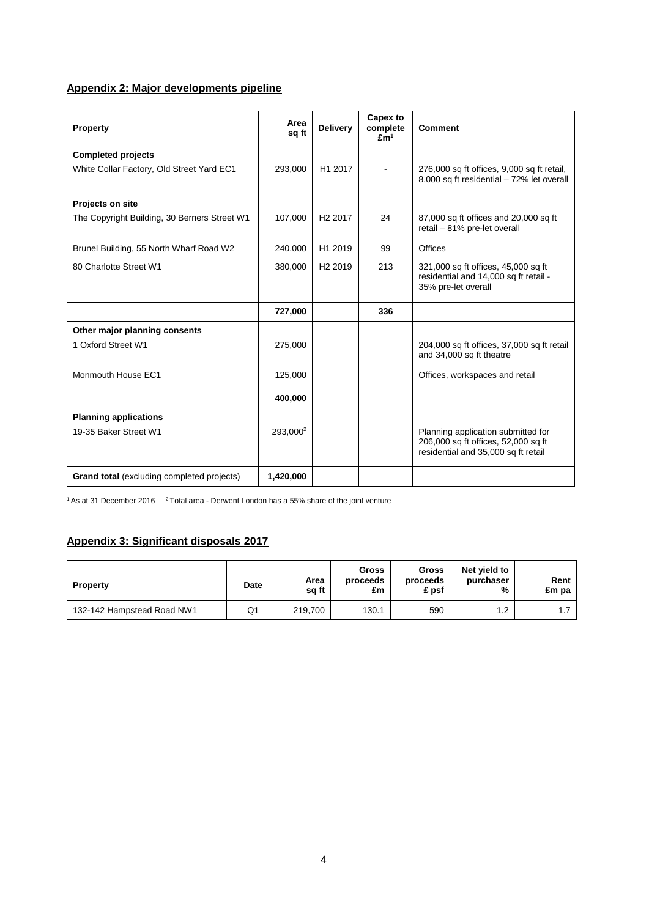# **Appendix 2: Major developments pipeline**

| Property                                          | Area<br>sq ft        | <b>Delivery</b>     | Capex to<br>complete<br>Em <sup>1</sup> | <b>Comment</b>                                                                                                   |
|---------------------------------------------------|----------------------|---------------------|-----------------------------------------|------------------------------------------------------------------------------------------------------------------|
| <b>Completed projects</b>                         |                      |                     |                                         |                                                                                                                  |
| White Collar Factory, Old Street Yard EC1         | 293,000              | H1 2017             |                                         | 276,000 sq ft offices, 9,000 sq ft retail,<br>8,000 sq ft residential - 72% let overall                          |
| Projects on site                                  |                      |                     |                                         |                                                                                                                  |
| The Copyright Building, 30 Berners Street W1      | 107,000              | H <sub>2</sub> 2017 | 24                                      | 87,000 sq ft offices and 20,000 sq ft<br>retail - 81% pre-let overall                                            |
| Brunel Building, 55 North Wharf Road W2           | 240,000              | H1 2019             | 99                                      | Offices                                                                                                          |
| 80 Charlotte Street W1                            | 380,000              | H <sub>2</sub> 2019 | 213                                     | 321,000 sq ft offices, 45,000 sq ft<br>residential and 14,000 sq ft retail -<br>35% pre-let overall              |
|                                                   | 727,000              |                     | 336                                     |                                                                                                                  |
| Other major planning consents                     |                      |                     |                                         |                                                                                                                  |
| 1 Oxford Street W1                                | 275,000              |                     |                                         | 204,000 sq ft offices, 37,000 sq ft retail<br>and 34,000 sq ft theatre                                           |
| Monmouth House EC1                                | 125,000              |                     |                                         | Offices, workspaces and retail                                                                                   |
|                                                   | 400,000              |                     |                                         |                                                                                                                  |
| <b>Planning applications</b>                      |                      |                     |                                         |                                                                                                                  |
| 19-35 Baker Street W1                             | 293.000 <sup>2</sup> |                     |                                         | Planning application submitted for<br>206,000 sq ft offices, 52,000 sq ft<br>residential and 35,000 sq ft retail |
| <b>Grand total</b> (excluding completed projects) | 1,420,000            |                     |                                         |                                                                                                                  |

 $1$  As at 31 December 2016  $2$  Total area - Derwent London has a 55% share of the joint venture

# **Appendix 3: Significant disposals 2017**

| <b>Property</b>            | Date | Area<br>sq ft | Gross<br>proceeds<br>£m | Gross<br>proceeds<br>£ psf | Net vield to<br>purchaser<br>% | Rent<br>£m pa |
|----------------------------|------|---------------|-------------------------|----------------------------|--------------------------------|---------------|
| 132-142 Hampstead Road NW1 | Q1   | 219.700       | 130.1                   | 590                        | 1.2                            |               |